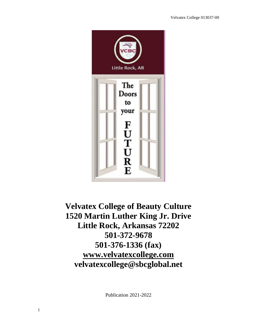

# **Velvatex College of Beauty Culture 1520 Martin Luther King Jr. Drive Little Rock, Arkansas 72202 501-372-9678 501-376-1336 (fax) [www.velvatexcollege.com](http://www.velvatexcollege.com/) velvatexcollege@sbcglobal.net**

Publication 2021-2022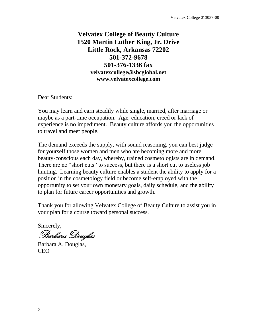## **Velvatex College of Beauty Culture 1520 Martin Luther King, Jr. Drive Little Rock, Arkansas 72202 501-372-9678 501-376-1336 fax velvatexcollege@sbcglobal.net [www.velvatexcollege.com](http://www.velvatexcollege.com/)**

Dear Students:

You may learn and earn steadily while single, married, after marriage or maybe as a part-time occupation. Age, education, creed or lack of experience is no impediment. Beauty culture affords you the opportunities to travel and meet people.

The demand exceeds the supply, with sound reasoning, you can best judge for yourself those women and men who are becoming more and more beauty-conscious each day, whereby, trained cosmetologists are in demand. There are no "short cuts" to success, but there is a short cut to useless job hunting. Learning beauty culture enables a student the ability to apply for a position in the cosmetology field or become self-employed with the opportunity to set your own monetary goals, daily schedule, and the ability to plan for future career opportunities and growth.

Thank you for allowing Velvatex College of Beauty Culture to assist you in your plan for a course toward personal success.

Sincerely,

Barbara Douglas

Barbara A. Douglas, CEO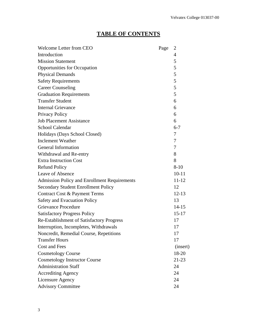## **TABLE OF CONTENTS**

| <b>Welcome Letter from CEO</b>                      | Page | $\overline{2}$ |
|-----------------------------------------------------|------|----------------|
| Introduction                                        |      | $\overline{4}$ |
| <b>Mission Statement</b>                            |      | 5              |
| <b>Opportunities for Occupation</b>                 |      | 5              |
| <b>Physical Demands</b>                             |      | 5              |
| <b>Safety Requirements</b>                          |      | 5              |
| <b>Career Counseling</b>                            |      | 5              |
| <b>Graduation Requirements</b>                      |      | 5              |
| <b>Transfer Student</b>                             |      | 6              |
| <b>Internal Grievance</b>                           |      | 6              |
| Privacy Policy                                      |      | 6              |
| <b>Job Placement Assistance</b>                     |      | 6              |
| <b>School Calendar</b>                              |      | $6 - 7$        |
| Holidays (Days School Closed)                       |      | 7              |
| <b>Inclement Weather</b>                            |      | 7              |
| <b>General Information</b>                          |      | 7              |
| Withdrawal and Re-entry                             |      | 8              |
| <b>Extra Instruction Cost</b>                       |      | 8              |
| <b>Refund Policy</b>                                |      | $8-10$         |
| <b>Leave of Absence</b>                             |      | $10 - 11$      |
| <b>Admission Policy and Enrollment Requirements</b> |      | 11-12          |
| <b>Secondary Student Enrollment Policy</b>          |      | 12             |
| Contract Cost & Payment Terms                       |      | $12 - 13$      |
| <b>Safety and Evacuation Policy</b>                 |      | 13             |
| <b>Grievance Procedure</b>                          |      | $14 - 15$      |
| <b>Satisfactory Progress Policy</b>                 |      | $15 - 17$      |
| Re-Establishment of Satisfactory Progress           |      | 17             |
| Interruption, Incompletes, Withdrawals              |      | 17             |
| Noncredit, Remedial Course, Repetitions             |      | 17             |
| <b>Transfer Hours</b>                               |      | 17             |
| <b>Cost and Fees</b>                                |      | (insert)       |
| <b>Cosmetology Course</b>                           |      | 18-20          |
| <b>Cosmetology Instructor Course</b>                |      | $21 - 23$      |
| <b>Administration Staff</b>                         |      | 24             |
| <b>Accrediting Agency</b>                           |      | 24             |
| Licensure Agency                                    |      | 24             |
| <b>Advisory Committee</b>                           |      | 24             |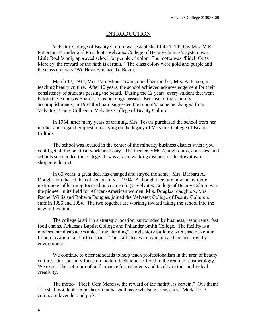#### INTRODUCTION

Velvatex College of Beauty Culture was established July 1, 1929 by Mrs. M.E. Patterson, Founder and President. Velvatex College of Beauty Culture's system was Little Rock's only approved school for people of color. The motto was "Fideli Certa Mercisy, the reward of the faith is certain." The class colors were gold and purple and the class aim was "We Have Finished To Begin."

March 12, 1942, Mrs. Earnestine Towns joined her mother, Mrs. Patterson, in teaching beauty culture. After 12 years, the school achieved acknowledgement for their consistency of students passing the board. During the 12 years, every student that went before the Arkansas Board of Cosmetology passed. Because of the school's accomplishments, in 1954 the board suggested the school's name be changed from Velvatex Beauty College to Velvatex College of Beauty Culture.

In 1954, after many years of training, Mrs. Towns purchased the school from her mother and began her quest of carrying on the legacy of Velvatex College of Beauty Culture.

The school was located in the center of the minority business district where you could get all the practical work necessary. The theater, YMCA, nightclubs, churches, and schools surrounded the college. It was also in walking distance of the downtownshopping district.

In 65 years, a great deal has changed and stayed the same. Mrs. Barbara A. Douglas purchased the college on July 1, 1994. Although there are now many more institutions of learning focused on cosmetology, Velvatex College of Beauty Culture was the pioneer in its field for African-American women. Mrs. Douglas' daughters, Mrs. Rachel Willis and Roberta Douglas, joined the Velvatex College of Beauty Culture's staff in 1995 and 1994. The two together are working toward taking the school into the new millennium.

The college is still in a strategic location, surrounded by business, restaurants, fast food chains, Arkansas Baptist College and Philander Smith College. The facility is a modern, handicap accessible, "free-standing", single story building with spacious clinic floor, classroom, and office space. The staff strives to maintain a clean and friendly environment.

We continue to offer standards to help teach professionalism in the area of beauty culture. Our specialty focus on modern techniques offered in the realm of cosmetology. We expect the optimum of performance from students and faculty in their individual creativity.

The motto- "Fideli Cera Mercisy, the reward of the faithful is certain." Our theme "He shall not doubt in his heart that he shall have whatsoever he saith," Mark 11:23, colors are lavender and pink.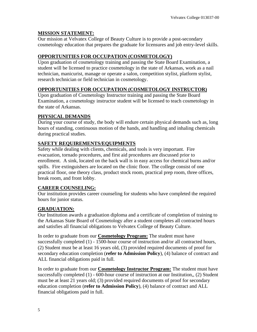## **MISSION STATEMENT:**

Our mission at Velvatex College of Beauty Culture is to provide a post-secondary cosmetology education that prepares the graduate for licensures and job entry-level skills.

## **OPPORTUNITIES FOR OCCUPATION (COSMETOLOGY)**

Upon graduation of cosmetology training and passing the State Board Examination, a student will be licensed to practice cosmetology in the state of Arkansas, work as a nail technician, manicurist, manage or operate a salon, competition stylist, platform stylist, research technician or field technician in cosmetology.

## **OPPORTUNITIES FOR OCCUPATION (COSMETOLOGY INSTRUCTOR)**

Upon graduation of Cosmetology Instructor training and passing the State Board Examination, a cosmetology instructor student will be licensed to teach cosmetology in the state of Arkansas.

## **PHYSICAL DEMANDS**

During your course of study, the body will endure certain physical demands such as, long hours of standing, continuous motion of the hands, and handling and inhaling chemicals during practical studies.

## **SAFETY REQUIREMENTS/EQUIPMENTS**

Safety while dealing with clients, chemicals, and tools is very important. Fire evacuation, tornado procedures, and first aid procedures are discussed prior to enrollment. A sink, located on the back wall is in easy access for chemical burns and/or spills. Fire extinguishers are located on the clinic floor. The college consist of one practical floor, one theory class, product stock room, practical prep room, three offices, break room, and front lobby.

## **CAREER COUNSELING:**

Our institution provides career counseling for students who have completed the required hours for junior status.

## **GRADUATION:**

Our Institution awards a graduation diploma and a certificate of completion of training to the Arkansas State Board of Cosmetology after a student completes all contracted hours and satisfies all financial obligations to Velvatex College of Beauty Culture.

In order to graduate from our **Cosmetology Program:** The student must have successfully completed (1) - 1500-hour course of instruction and/or all contracted hours, (2) Student must be at least 16 years old, (3) provided required documents of proof for secondary education completion (**refer to Admission Policy**), (4) balance of contract and ALL financial obligations paid in full.

In order to graduate from our **Cosmetology Instructor Program:** The student must have successfully completed (1) - 600-hour course of instruction at our Institution,, (2) Student must be at least 21 years old; (3) provided required documents of proof for secondary education completion (**refer to Admission Policy**), (4) balance of contract and ALL financial obligations paid in full.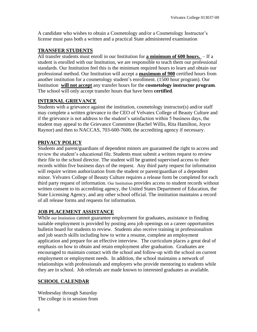A candidate who wishes to obtain a Cosmetology and/or a Cosmetology Instructor's license must pass both a written and a practical State administered examination

#### **TRANSFER STUDENTS**

All transfer students must enroll in our Institution for **a minimum of 600 hours.** – If a student is enrolled with our Institution, we are responsible to teach them our professional standards. Our Institution feel this is the minimum required hours to learn and obtain our professional method. Our Institution will accept a **maximum of 900** certified hours from another institution for a cosmetology student's enrollment. (1500 hour program). Our Institution **will not accept** any transfer hours for the **cosmetology instructor program**. The school will only accept transfer hours that have been **certified**.

#### **INTERNAL GRIEVANCE**

Students with a grievance against the institution, cosmetology instructor(s) and/or staff may complete a written grievance to the CEO of Velvatex College of Beauty Culture and if the grievance is not address to the student's satisfaction within 5 business days, the student may appeal to the Grievance Committee (Rachel Willis, Rita Hamilton, Joyce Raynor) and then to NACCAS, 703-600-7600, the accrediting agency if necessary.

### **PRIVACY POLICY**

Students and parent/guardians of dependent minors are guaranteed the right to access and review the student's educational file. Students must submit a written request to review their file to the school director. The student will be granted supervised access to their records within five business days of the request. Any third party request for information will require written authorization from the student or parent/guardian of a dependent minor. Velvatex College of Beauty Culture requires a release form be completed for each third party request of information. Our Institution provides access to student records without written consent to its accrediting agency, the United States Department of Education, the State Licensing Agency, and any other school official. The institution maintains a record of all release forms and requests for information.

### **JOB PLACEMENT ASSISTANCE**

While our Institution cannot guarantee employment for graduates, assistance in finding suitable employment is provided by posting area job openings on a career opportunities bulletin board for students to review. Students also receive training in professionalism and job search skills including how to write a resume, complete an employment application and prepare for an effective interview. The curriculum places a great deal of emphasis on how to obtain and retain employment after graduation. Graduates are encouraged to maintain contact with the school and follow-up with the school on current employment or employment needs. In addition, the school maintains a network of relationships with professionals and employers who provide mentoring to students while they are in school. Job referrals are made known to interested graduates as available.

### **SCHOOL CALENDAR**

Wednesday through Saturday The college is in session from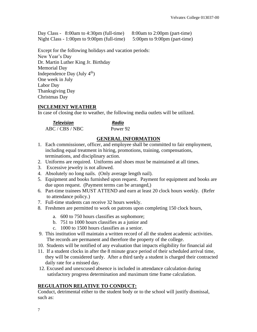Day Class -  $8:00$ am to  $4:30$ pm (full-time)  $8:00$ am to  $2:00$ pm (part-time) Night Class - 1:00pm to 9:00pm (full-time) 5:00pm to 9:00pm (part-time)

Except for the following holidays and vacation periods: New Year's Day Dr. Martin Luther King Jr. Birthday Memorial Day Independence Day (July  $4<sup>th</sup>$ ) One week in July Labor Day Thanksgiving Day Christmas Day

#### **INCLEMENT WEATHER**

In case of closing due to weather, the following media outlets will be utilized.

| <b>Television</b> | Radio    |
|-------------------|----------|
| ABC / CBS / NBC   | Power 92 |

### **GENERAL INFORMATION**

- 1. Each commissioner, officer, and employee shall be committed to fair employment, including equal treatment in hiring, promotions, training, compensations, terminations, and disciplinary action.
- 2. Uniforms are required. Uniforms and shoes must be maintained at all times.
- 3. Excessive jewelry is not allowed.
- 4. Absolutely no long nails. (Only average length nail).
- 5. Equipment and books furnished upon request. Payment for equipment and books are due upon request. (Payment terms can be arranged,)
- 6. Part-time trainees MUST ATTEND and earn at least 20 clock hours weekly. (Refer to attendance policy.)
- 7. Full-time students can receive 32 hours weekly.
- 8. Freshmen are permitted to work on patrons upon completing 150 clock hours,
	- a. 600 to 750 hours classifies as sophomore;
	- b. 751 to 1000 hours classifies as a junior and
	- c. 1000 to 1500 hours classifies as a senior.
- 9. This institution will maintain a written record of all the student academic activities. The records are permanent and therefore the property of the college.
- 10. Students will be notified of any evaluation that impacts eligibility for financial aid
- 11. If a student clocks in after the 8 minute grace period of their scheduled arrival time, they will be considered tardy. After a third tardy a student is charged their contracted daily rate for a missed day.
- 12. Excused and unexcused absence is included in attendance calculation during satisfactory progress determination and maximum time frame calculation.

#### **REGULATION RELATIVE TO CONDUCT:**

Conduct, detrimental either to the student body or to the school will justify dismissal, such as: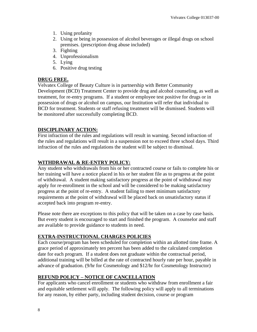- 1. Using profanity
- 2. Using or being in possession of alcohol beverages or illegal drugs on school premises. (prescription drug abuse included)
- 3. Fighting
- 4. Unprofessionalism
- 5. Lying
- 6. Positive drug testing

#### **DRUG FREE.**

Velvatex College of Beauty Culture is in partnership with Better Community Development (BCD) Treatment Center to provide drug and alcohol counseling, as well as treatment, for re-entry programs. If a student or employee test positive for drugs or in possession of drugs or alcohol on campus, our Institution will refer that individual to BCD for treatment. Students or staff refusing treatment will be dismissed. Students will be monitored after successfully completing BCD.

#### **DISCIPLINARY ACTION:**

First infraction of the rules and regulations will result in warning. Second infraction of the rules and regulations will result in a suspension not to exceed three school days. Third infraction of the rules and regulations the student will be subject to dismissal.

#### **WITHDRAWAL & RE-ENTRY POLICY:**

Any student who withdrawals from his or her contracted course or fails to complete his or her training will have a notice placed in his or her student file as to progress at the point of withdrawal. A student making satisfactory progress at the point of withdrawal may apply for re-enrollment in the school and will be considered to be making satisfactory progress at the point of re-entry. A student failing to meet minimum satisfactory requirements at the point of withdrawal will be placed back on unsatisfactory status if accepted back into program re-entry.

Please note there are exceptions to this policy that will be taken on a case by case basis. But every student is encouraged to start and finished the program. A counselor and staff are available to provide guidance to students in need.

#### **EXTRA-INSTRUCTIONAL CHARGES POLICIES**

Each course/program has been scheduled for completion within an allotted time frame. A grace period of approximately ten percent has been added to the calculated completion date for each program. If a student does not graduate within the contractual period, additional training will be billed at the rate of contracted hourly rate per hour, payable in advance of graduation. (9/hr for Cosmetology and \$12/hr for Cosmetology Instructor)

#### **REFUND POLICY – NOTICE OF CANCELLATION**

For applicants who cancel enrollment or students who withdraw from enrollment a fair and equitable settlement will apply. The following policy will apply to all terminations for any reason, by either party, including student decision, course or program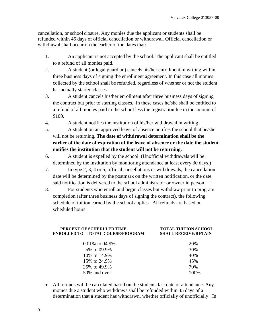cancellation, or school closure. Any monies due the applicant or students shall be refunded within 45 days of official cancellation or withdrawal. Official cancellation or withdrawal shall occur on the earlier of the dates that:

- 1. An applicant is not accepted by the school. The applicant shall be entitled to a refund of all monies paid.
- 2. A student (or legal guardian) cancels his/her enrollment in writing within three business days of signing the enrollment agreement. In this case all monies collected by the school shall be refunded, regardless of whether or not the student has actually started classes.
- 3. A student cancels his/her enrollment after three business days of signing the contract but prior to starting classes. In these cases he/she shall be entitled to a refund of all monies paid to the school less the registration fee in the amount of \$100.
- 4. A student notifies the institution of his/her withdrawal in writing.
- 5. A student on an approved leave of absence notifies the school that he/she will not be returning. **The date of withdrawal determination shall be the earlier of the date of expiration of the leave of absence or the date the student notifies the institution that the student will not be returning.**
- 6. A student is expelled by the school. (Unofficial withdrawals will be determined by the institution by monitoring attendance at least every 30 days.)
- 7. In type 2, 3, 4 or 5, official cancellations or withdrawals, the cancellation date will be determined by the postmark on the written notification, or the date said notification is delivered to the school administrator or owner in person.
- 8. For students who enroll and begin classes but withdraw prior to program completion (after three business days of signing the contract), the following schedule of tuition earned by the school applies. All refunds are based on scheduled hours:

#### **PERCENT OF SCHEDULED TIME TOTAL TUITION SCHOOL ENROLLED TO TOTAL COURSE/PROGRAM SHALL RECEIVE/RETAIN**

| $0.01\%$ to 04.9% | 20%   |
|-------------------|-------|
| 5% to 09.9%       | 30%   |
| 10\% to 14.9\%    | 40%   |
| 15\% to 24.9\%    | 45%   |
| 25\% to 49.9\%    | 70%   |
| 50% and over      | 100\% |

• All refunds will be calculated based on the students last date of attendance. Any monies due a student who withdraws shall be refunded within 45 days of a determination that a student has withdrawn, whether officially of unofficially. In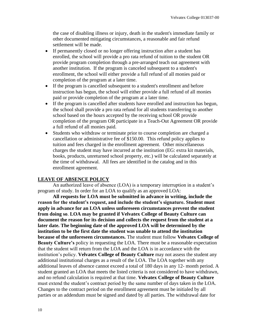the case of disabling illness or injury, death in the student's immediate family or other documented mitigating circumstances, a reasonable and fair refund settlement will be made.

- If permanently closed or no longer offering instruction after a student has enrolled, the school will provide a pro rata refund of tuition to the student OR provide program completion through a pre-arranged teach out agreement with another institution. If the program is canceled subsequent to a student's enrollment, the school will either provide a full refund of all monies paid or completion of the program at a later time.
- If the program is cancelled subsequent to a student's enrollment and before instruction has begun, the school will either provide a full refund of all monies paid or provide completion of the program at a later time.
- If the program is cancelled after students have enrolled and instruction has begun, the school shall provide a pro rata refund for all students transferring to another school based on the hours accepted by the receiving school OR provide completion of the program OR participate in a Teach-Out Agreement OR provide a full refund of all monies paid.
- Students who withdraw or terminate prior to course completion are charged a cancellation or administrative fee of \$150.00. This refund policy applies to tuition and fees charged in the enrollment agreement. Other miscellaneous charges the student may have incurred at the institution (EG: extra kit materials, books, products, unreturned school property, etc.) will be calculated separately at the time of withdrawal. All fees are identified in the catalog and in this enrollment agreement.

#### **LEAVE OF ABSENCE POLICY**

An authorized leave of absence (LOA) is a temporary interruption in a student's program of study. In order for an LOA to qualify as an approved LOA:

**All requests for LOA must be submitted in advance in writing, include the reason for the student's request, and include the student's signature. Student must apply in advance for an LOA unless unforeseen circumstances prevent the student from doing so**. **LOA may be granted if Velvatex College of Beauty Culture can document the reason for its decision and collects the request from the student at a later date. The beginning date of the approved LOA will be determined by the institution to be the first date the student was unable to attend the institution because of the unforeseen circumstances.** The student must follow **Velvatex College of Beauty Culture's** policy in requesting the LOA. There must be a reasonable expectation that the student will return from the LOA and the LOA is in accordance with the institution's policy. **Velvatex College of Beauty Culture** may not assess the student any additional institutional charges as a result of the LOA. The LOA together with any additional leaves of absence cannot exceed a total of 180 days in any 12- month period. A student granted an LOA that meets the listed criteria is not considered to have withdrawn, and no refund calculation is required at that time. **Velvatex College of Beauty Culture** must extend the student's contract period by the same number of days taken in the LOA. Changes to the contract period on the enrollment agreement must be initialed by all parties or an addendum must be signed and dated by all parties. The withdrawal date for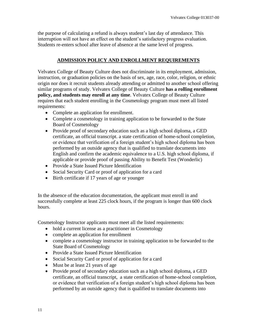the purpose of calculating a refund is always student's last day of attendance. This interruption will not have an effect on the student's satisfactory progress evaluation. Students re-enters school after leave of absence at the same level of progress.

#### **ADMISSION POLICY AND ENROLLMENT REQUIREMENTS**

Velvatex College of Beauty Culture does not discriminate in its employment, admission, instruction, or graduation policies on the basis of sex, age, race, color, religion, or ethnic origin nor does it recruit students already attending or admitted to another school offering similar programs of study. Velvatex College of Beauty Culture **has a rolling enrollment policy, and students may enroll at any time**. Velvatex College of Beauty Culture requires that each student enrolling in the Cosmetology program must meet all listed requirements:

- Complete an application for enrollment.
- Complete a cosmetology in training application to be forwarded to the State Board of Cosmetology
- Provide proof of secondary education such as a high school diploma, a GED certificate, an official transcript. a state certification of home-school completion, or evidence that verification of a foreign student's high school diploma has been performed by an outside agency that is qualified to translate documents into English and confirm the academic equivalence to a U.S. high school diploma, if applicable or provide proof of passing Ability to Benefit Test (Wonderlic)
- Provide a State Issued Picture Identification
- Social Security Card or proof of application for a card
- Birth certificate if 17 years of age or younger

In the absence of the education documentation, the applicant must enroll in and successfully complete at least 225 clock hours, if the program is longer than 600 clock hours.

Cosmetology Instructor applicants must meet all the listed requirements:

- hold a current license as a practitioner in Cosmetology
- complete an application for enrollment
- complete a cosmetology instructor in training application to be forwarded to the State Board of Cosmetology
- Provide a State Issued Picture Identification
- Social Security Card or proof of application for a card
- Must be at least 21 years of age
- Provide proof of secondary education such as a high school diploma, a GED certificate, an official transcript, a state certification of home-school completion, or evidence that verification of a foreign student's high school diploma has been performed by an outside agency that is qualified to translate documents into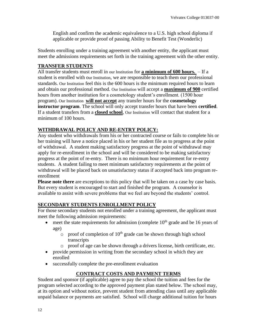English and confirm the academic equivalence to a U.S. high school diploma if applicable or provide proof of passing Ability to Benefit Test (Wonderlic)

Students enrolling under a training agreement with another entity, the applicant must meet the admissions requirements set forth in the training agreement with the other entity.

#### **TRANSFER STUDENTS**

All transfer students must enroll in our Institution for **a minimum of 600 hours.** – If a student is enrolled with our Institution, we are responsible to teach them our professional standards. Our Institution feel this is the 600 hours is the minimum required hours to learn and obtain our professional method. Our Institution will accept a **maximum of 900** certified hours from another institution for a cosmetology student's enrollment. (1500 hour program). Our Institution **will not accept** any transfer hours for the **cosmetology instructor program**. The school will only accept transfer hours that have been **certified**. If a student transfers from a **closed school**, Our Institution will contact that student for a minimum of 100 hours.

#### **WITHDRAWAL POLICY AND RE-ENTRY POLICY:**

Any student who withdrawals from his or her contracted course or fails to complete his or her training will have a notice placed in his or her student file as to progress at the point of withdrawal. A student making satisfactory progress at the point of withdrawal may apply for re-enrollment in the school and will be considered to be making satisfactory progress at the point of re-entry. There is no minimum hour requirement for re-entry students. A student failing to meet minimum satisfactory requirements at the point of withdrawal will be placed back on unsatisfactory status if accepted back into program reenrollment

**Please note there** are exceptions to this policy that will be taken on a case by case basis. But every student is encouraged to start and finished the program. A counselor is available to assist with severe problems that we feel are beyond the students' control.

#### **SECONDARY STUDENTS ENROLLMENT POLICY**

For those secondary students not enrolled under a training agreement, the applicant must meet the following admission requirements:

- meet the state requirements for admission (complete  $10<sup>th</sup>$  grade and be 16 years of age)
	- $\circ$  proof of completion of 10<sup>th</sup> grade can be shown through high school transcripts
	- o proof of age can be shown through a drivers license, birth certificate, etc.
- provide permission in writing from the secondary school in which they are enrolled
- successfully complete the pre-enrollment evaluation

#### **CONTRACT COSTS AND PAYMENT TERMS**

Student and sponsor (if applicable) agree to pay the school the tuition and fees for the program selected according to the approved payment plan stated below. The school may, at its option and without notice, prevent student from attending class until any applicable unpaid balance or payments are satisfied. School will charge additional tuition for hours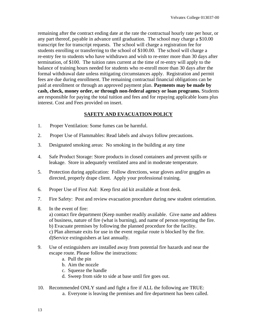remaining after the contract ending date at the rate the contractual hourly rate per hour, or any part thereof, payable in advance until graduation. The school may charge a \$10.00 transcript fee for transcript requests. The school will charge a registration fee for students enrolling or transferring to the school of \$100.00. The school will charge a re-entry fee to students who have withdrawn and wish to re-enter more than 30 days after termination, of \$100. The tuition rates current at the time of re-entry will apply to the balance of training hours needed for students who re-enroll more than 30 days after the formal withdrawal date unless mitigating circumstances apply. Registration and permit fees are due during enrollment. The remaining contractual financial obligations can be paid at enrollment or through an approved payment plan. **Payments may be made by cash, check, money order, or through non-federal agency or loan programs.** Students are responsible for paying the total tuition and fees and for repaying applicable loans plus interest. Cost and Fees provided on insert.

#### **SAFETY AND EVACUATION POLICY**

- 1. Proper Ventilation: Some fumes can be harmful.
- 2. Proper Use of Flammables: Read labels and always follow precautions.
- 3. Designated smoking areas: No smoking in the building at any time
- 4. Safe Product Storage: Store products in closed containers and prevent spills or leakage. Store in adequately ventilated area and in moderate temperature.
- 5. Protection during application: Follow directions, wear gloves and/or goggles as directed, properly drape client. Apply your professional training.
- 6. Proper Use of First Aid: Keep first aid kit available at front desk.
- 7. Fire Safety: Post and review evacuation procedure during new student orientation.
- 8. In the event of fire:

a) contact fire department (Keep number readily available. Give name and address of business, nature of fire (what is burning), and name of person reporting the fire. b) Evacuate premises by following the planned procedure for the facility.

c) Plan alternate exits for use in the event regular route is blocked by the fire. d)Service extinguishers at last annually.

- 9. Use of extinguishers are installed away from potential fire hazards and near the escape route. Please follow the instructions:
	- a. Pull the pin
	- b. Aim the nozzle
	- c. Squeeze the handle
	- d. Sweep from side to side at base until fire goes out.
- 10. Recommended ONLY stand and fight a fire if ALL the following are TRUE: a. Everyone is leaving the premises and fire department has been called.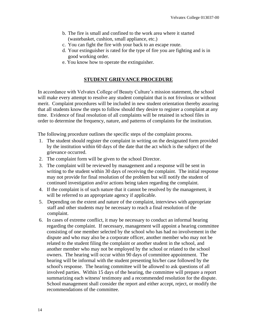- b. The fire is small and confined to the work area where it started (wastebasket, cushion, small appliance, etc.)
- c. You can fight the fire with your back to an escape route.
- d. Your extinguisher is rated for the type of fire you are fighting and is in good working order.
- e. You know how to operate the extinguisher.

#### **STUDENT GRIEVANCE PROCEDURE**

In accordance with Velvatex College of Beauty Culture's mission statement, the school will make every attempt to resolve any student complaint that is not frivolous or without merit. Complaint procedures will be included in new student orientation thereby assuring that all students know the steps to follow should they desire to register a complaint at any time. Evidence of final resolution of all complaints will be retained in school files in order to determine the frequency, nature, and patterns of complaints for the institution.

The following procedure outlines the specific steps of the complaint process.

- 1. The student should register the complaint in writing on the designated form provided by the institution within 60 days of the date that the act which is the subject of the grievance occurred.
- 2. The complaint form will be given to the school Director.
- 3. The complaint will be reviewed by management and a response will be sent in writing to the student within 30 days of receiving the complaint. The initial response may not provide for final resolution of the problem but will notify the student of continued investigation and/or actions being taken regarding the complaint.
- 4. If the complaint is of such nature that it cannot be resolved by the management, it will be referred to an appropriate agency if applicable.
- 5. Depending on the extent and nature of the complaint, interviews with appropriate staff and other students may be necessary to reach a final resolution of the complaint.
- 6. In cases of extreme conflict, it may be necessary to conduct an informal hearing regarding the complaint. If necessary, management will appoint a hearing committee consisting of one member selected by the school who has had no involvement in the dispute and who may also be a corporate officer, another member who may not be related to the student filing the complaint or another student in the school, and another member who may not be employed by the school or related to the school owners. The hearing will occur within 90 days of committee appointment. The hearing will be informal with the student presenting his/her case followed by the school's response. The hearing committee will be allowed to ask questions of all involved parties. Within 15 days of the hearing, the committee will prepare a report summarizing each witness' testimony and a recommended resolution for the dispute. School management shall consider the report and either accept, reject, or modify the recommendations of the committee.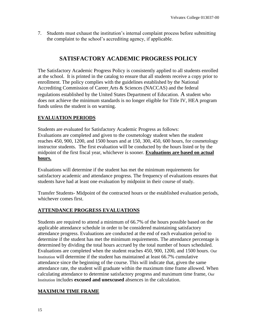7. Students must exhaust the institution's internal complaint process before submitting the complaint to the school's accrediting agency, if applicable.

## **SATISFACTORY ACADEMIC PROGRESS POLICY**

The Satisfactory Academic Progress Policy is consistently applied to all students enrolled at the school. It is printed in the catalog to ensure that all students receive a copy prior to enrollment. The policy complies with the guidelines established by the National Accrediting Commission of Career Arts & Sciences (NACCAS) and the federal regulations established by the United States Department of Education. A student who does not achieve the minimum standards is no longer eligible for Title IV, HEA program funds unless the student is on warning.

#### **EVALUATION PERIODS**

Students are evaluated for Satisfactory Academic Progress as follows: Evaluations are completed and given to the cosmetology student when the student reaches 450, 900, 1200, and 1500 hours and at 150, 300, 450, 600 hours, for cosmetology instructor students. The first evaluation will be conducted by the hours listed or by the midpoint of the first fiscal year, whichever is sooner. **Evaluations are based on actual hours.**

Evaluations will determine if the student has met the minimum requirements for satisfactory academic and attendance progress. The frequency of evaluations ensures that students have had at least one evaluation by midpoint in their course of study.

Transfer Students- Midpoint of the contracted hours or the established evaluation periods, whichever comes first.

#### **ATTENDANCE PROGRESS EVALUATIONS**

Students are required to attend a minimum of 66.7% of the hours possible based on the applicable attendance schedule in order to be considered maintaining satisfactory attendance progress. Evaluations are conducted at the end of each evaluation period to determine if the student has met the minimum requirements. The attendance percentage is determined by dividing the total hours accrued by the total number of hours scheduled. Evaluations are completed when the student reaches 450, 900, 1200, and 1500 hours. Our Institution will determine if the student has maintained at least 66.7% cumulative attendance since the beginning of the course. This will indicate that, given the same attendance rate, the student will graduate within the maximum time frame allowed. When calculating attendance to determine satisfactory progress and maximum time frame, Our Institution includes **excused and unexcused** absences in the calculation.

#### **MAXIMUM TIME FRAME**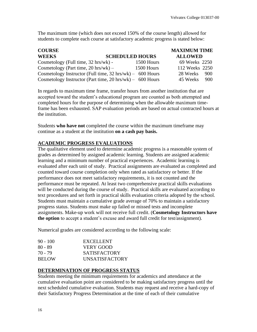The maximum time (which does not exceed 150% of the course length) allowed for students to complete each course at satisfactory academic progress is stated below:

| <b>COURSE</b>                                                        |                        | <b>MAXIMUM TIME</b> |     |
|----------------------------------------------------------------------|------------------------|---------------------|-----|
| <b>WEEKS</b>                                                         | <b>SCHEDULED HOURS</b> | <b>ALLOWED</b>      |     |
| Cosmetology (Full time, 32 hrs/wk) -                                 | 1500 Hours             | 69 Weeks 2250       |     |
| Cosmetology (Part time, $20 \text{ hrs/wk}$ ) –                      | 1500 Hours             | 112 Weeks 2250      |     |
| Cosmetology Instructor (Full time, $32 \text{ hrs/wk}$ ) – 600 Hours |                        | 28 Weeks            | 900 |
| Cosmetology Instructor (Part time, $20 \text{ hrs/wk}$ ) – 600 Hours |                        | 45 Weeks            | 900 |

In regards to maximum time frame, transfer hours from another institution that are accepted toward the student's educational program are counted as both attempted and completed hours for the purpose of determining when the allowable maximum timeframe has been exhausted. SAP evaluation periods are based on actual contracted hours at the institution.

Students **who have not** completed the course within the maximum timeframe may continue as a student at the institution **on a cash pay basis.**

#### **ACADEMIC PROGRESS EVALUATIONS**

The qualitative element used to determine academic progress is a reasonable system of grades as determined by assigned academic learning. Students are assigned academic learning and a minimum number of practical experiences. Academic learning is evaluated after each unit of study. Practical assignments are evaluated as completed and counted toward course completion only when rated as satisfactory or better. If the performance does not meet satisfactory requirements, it is not counted and the performance must be repeated. At least two comprehensive practical skills evaluations will be conducted during the course of study. Practical skills are evaluated according to text procedures and set forth in practical skills evaluation criteria adopted by the school. Students must maintain a cumulative grade average of 70% to maintain a satisfactory progress status. Students must make up failed or missed tests and incomplete assignments. Make-up work will not receive full credit. (**Cosmetology Instructors have the option** to accept a student's excuse and award full credit for test/assignment).

Numerical grades are considered according to the following scale:

| $90 - 100$   | <b>EXCELLENT</b>      |
|--------------|-----------------------|
| 80 - 89      | VERY GOOD             |
| 70 - 79      | <b>SATISFACTORY</b>   |
| <b>BELOW</b> | <b>UNSATISFACTORY</b> |

#### **DETERMINATION OF PROGRESS STATUS**

Students meeting the minimum requirements for academics and attendance at the cumulative evaluation point are considered to be making satisfactory progress until the next scheduled cumulative evaluation. Students may request and receive a hard-copy of their Satisfactory Progress Determination at the time of each of their cumulative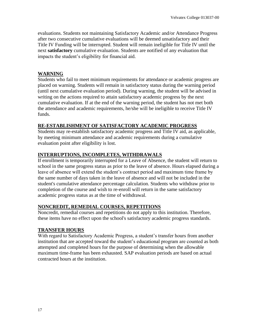evaluations. Students not maintaining Satisfactory Academic and/or Attendance Progress after two consecutive cumulative evaluations will be deemed unsatisfactory and their Title IV Funding will be interrupted. Student will remain ineligible for Title IV until the next **satisfactory** cumulative evaluation. Students are notified of any evaluation that impacts the student's eligibility for financial aid.

#### **WARNING**

Students who fail to meet minimum requirements for attendance or academic progress are placed on warning. Students will remain in satisfactory status during the warning period (until next cumulative evaluation period). During warning, the student will be advised in writing on the actions required to attain satisfactory academic progress by the next cumulative evaluation. If at the end of the warning period, the student has not met both the attendance and academic requirements, he/she will be ineligible to receive Title IV funds.

#### **RE-ESTABLISHMENT OF SATISFACTORY ACADEMIC PROGRESS**

Students may re-establish satisfactory academic progress and Title IV aid, as applicable, by meeting minimum attendance and academic requirements during a cumulative evaluation point after eligibility is lost.

#### **INTERRUPTIONS, INCOMPLETES, WITHDRAWALS**

If enrollment is temporarily interrupted for a Leave of Absence, the student will return to school in the same progress status as prior to the leave of absence. Hours elapsed during a leave of absence will extend the student's contract period and maximum time frame by the same number of days taken in the leave of absence and will not be included in the student's cumulative attendance percentage calculation. Students who withdraw prior to completion of the course and wish to re-enroll will return in the same satisfactory academic progress status as at the time of withdrawal.

#### **NONCREDIT, REMEDIAL COURSES, REPETITIONS**

Noncredit, remedial courses and repetitions do not apply to this institution. Therefore, these items have no effect upon the school's satisfactory academic progress standards.

#### **TRANSFER HOURS**

With regard to Satisfactory Academic Progress, a student's transfer hours from another institution that are accepted toward the student's educational program are counted as both attempted and completed hours for the purpose of determining when the allowable maximum time-frame has been exhausted. SAP evaluation periods are based on actual contracted hours at the institution.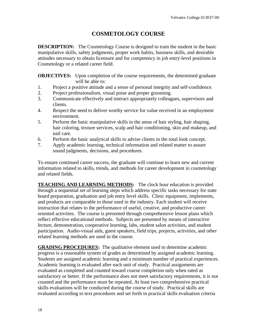## **COSMETOLOGY COURSE**

**DESCRIPTION:** The Cosmetology Course is designed to train the student in the basic manipulative skills, safety judgments, proper work habits, business skills, and desirable attitudes necessary to obtain licensure and for competency in job entry-level positions in Cosmetology or a related career field.

**OBJECTIVES:** Upon completion of the course requirements, the determined graduate will be able to:

- 1. Project a positive attitude and a sense of personal integrity and self-confidence.
- 2. Project professionalism, visual poise and proper grooming.
- 3. Communicate effectively and interact appropriately colleagues, supervisors and clients.
- 4. Respect the need to deliver worthy service for value received in an employment environment.
- 5. Perform the basic manipulative skills in the areas of hair styling, hair shaping, hair coloring, texture services, scalp and hair conditioning, skin and makeup, and nail care.
- 6. Perform the basic analytical skills to advise clients in the total look concept.
- 7. Apply academic learning, technical information and related matter to assure sound judgments, decisions, and procedures.

To ensure continued career success, the graduate will continue to learn new and current information related to skills, trends, and methods for career development in cosmetology and related fields.

**TEACHING AND LEARNING METHODS:** The clock hour education is provided through a sequential set of learning steps which address specific tasks necessary for state board preparation, graduation and job entry level skills. Clinic equipment, implements, and products are comparable to those used in the industry. Each student will receive instruction that relates to the performance of useful, creative, and productive career oriented activities. The course is presented through comprehensive lesson plans which reflect effective educational methods. Subjects are presented by means of interactive lecture, demonstration, cooperative learning, labs, student salon activities, and student participation. Audio-visual aids, guest speakers, field trips, projects, activities, and other related learning methods are used in the course.

**GRADING PROCEDURES:** The qualitative element used to determine academic progress is a reasonable system of grades as determined by assigned academic learning. Students are assigned academic learning and a minimum number of practical experiences. Academic learning is evaluated after each unit of study. Practical assignments are evaluated as completed and counted toward course completion only when rated as satisfactory or better. If the performance does not meet satisfactory requirements, it is not counted and the performance must be repeated. At least two comprehensive practical skills evaluations will be conducted during the course of study. Practical skills are evaluated according to text procedures and set forth in practical skills evaluation criteria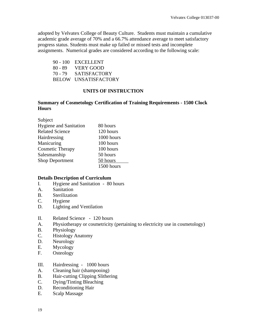adopted by Velvatex College of Beauty Culture. Students must maintain a cumulative academic grade average of 70% and a 66.7% attendance average to meet satisfactory progress status. Students must make up failed or missed tests and incomplete assignments. Numerical grades are considered according to the following scale:

90 - 100 EXCELLENT 80 - 89 VERY GOOD 70 - 79 SATISFACTORY BELOW UNSATISFACTORY

#### **UNITS OF INSTRUCTION**

#### **Summary of Cosmetology Certification of Training Requirements - 1500 Clock Hours**

| Subject                       |            |
|-------------------------------|------------|
| <b>Hygiene and Sanitation</b> | 80 hours   |
| <b>Related Science</b>        | 120 hours  |
| Hairdressing                  | 1000 hours |
| Manicuring                    | 100 hours  |
| <b>Cosmetic Therapy</b>       | 100 hours  |
| Salesmanship                  | 50 hours   |
| <b>Shop Deportment</b>        | 50 hours   |
|                               | 1500 hours |

#### **Details Description of Curriculum**

- I. Hygiene and Sanitation 80 hours
- A. Sanitation
- B. Sterilization
- C. Hygiene
- D. Lighting and Ventilation
- II. Related Science 120 hours
- A. Physiotherapy or cosmetricity (pertaining to electricity use in cosmetology)
- B. Physiology
- C. Histology Anatomy
- D. Neurology
- E. Mycology
- F. Osteology
- III. Hairdressing 1000 hours
- A. Cleaning hair (shampooing)
- B. Hair-cutting Clipping Slithering
- C. Dying/Tinting Bleaching
- D. Reconditioning Hair
- E. Scalp Massage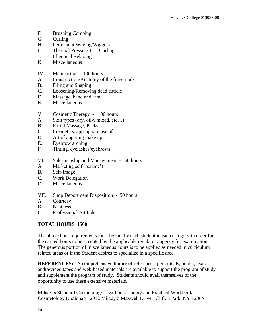- F. Brushing Combing
- G. Curling
- H. Permanent Waving/Wiggery
- I. Thermal Pressing Iron Curling
- J. Chemical Relaxing
- K. Miscellaneous
- IV. Manicuring 100 hours
- A. Construction/Anatomy of the fingernails
- B. Filing and Shaping
- C. Loosening/Removing dead cuticle
- D. Massage, hand and arm
- E. Miscellaneous
- V. Cosmetic Therapy 100 hours
- A. Skin types (dry, oily, mixed, etc...)
- B. Facial Massage, Packs
- C. Cosmetics, appropriate use of
- D. Art of applying make up
- E. Eyebrow arching
- F. Tinting, eyelashes/eyebrows
- VI. Salesmanship and Management 50 hours
- A. Marketing self (resume')
- B. Self-Image
- C. Work Delegation
- D. Miscellaneous
- VII. Shop Deportment Disposition 50 hours
- A. Courtesy
- B. Neatness
- C. Professional Attitude

### **TOTAL HOURS 1500**

The above hour requirements must be met by each student in each category in order for the earned hours to be accepted by the applicable regulatory agency for examination. The generous portion of miscellaneous hours is to be applied as needed in curriculum related areas or if the Student desires to specialize in a specific area.

**REFERENCES:** A comprehensive library of references, periodicals, books, texts, audio/video tapes and web-based materials are available to support the program of study and supplement the program of study. Students should avail themselves of the opportunity to use these extensive materials.

Milady's Standard Cosmetology, Textbook, Theory and Practical Workbook, Cosmetology Dictionary, 2012 Milady 5 Maxwell Drive - Clifton Park, NY 12065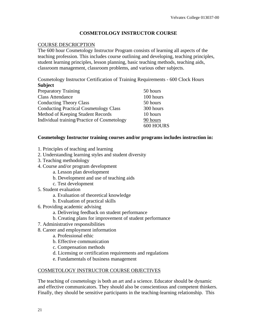#### **COSMETOLOGY INSTRUCTOR COURSE**

#### COURSE DESCRICPTION

The 600 hour Cosmetology Instructor Program consists of learning all aspects of the teaching profession. This includes course outlining and developing, teaching principles, student learning principles, lesson planning, basic teaching methods, teaching aids, classroom management, classroom problems, and various other subjects.

Cosmetology Instructor Certification of Training Requirements - 600 Clock Hours **Subject**

| 50 hours  |
|-----------|
| 100 hours |
| 50 hours  |
| 300 hours |
| 10 hours  |
| 90 hours  |
| 600 HOURS |
|           |

#### **Cosmetology Instructor training courses and/or programs includes instruction in:**

- 1. Principles of teaching and learning
- 2. Understanding learning styles and student diversity
- 3. Teaching methodology
- 4. Course and/or program development
	- a. Lesson plan development
	- b. Development and use of teaching aids
	- c. Test development
- 5. Student evaluation
	- a. Evaluation of theoretical knowledge
	- b. Evaluation of practical skills
- 6. Providing academic advising
	- a. Delivering feedback on student performance
	- b. Creating plans for improvement of student performance
- 7. Administrative responsibilities
- 8. Career and employment information
	- a. Professional ethic
	- b. Effective communication
	- c. Compensation methods
	- d. Licensing or certification requirements and regulations
	- e. Fundamentals of business management

#### COSMETOLOGY INSTRUCTOR COURSE OBJECTIVES

The teaching of cosmetology is both an art and a science. Educator should be dynamic and effective communicators. They should also be conscientious and competent thinkers. Finally, they should be sensitive participants in the teaching-learning relationship. This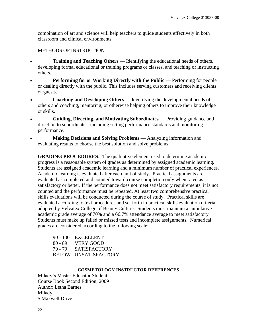combination of art and science will help teachers to guide students effectively in both classroom and clinical environments.

#### METHODS OF INSTRUCTION

- **Training and Teaching Others** Identifying the educational needs of others, developing formal educational or training programs or classes, and teaching or instructing others.
- **Performing for or Working Directly with the Public** Performing for people or dealing directly with the public. This includes serving customers and receiving clients or guests.
- **Coaching and Developing Others** Identifying the developmental needs of others and coaching, mentoring, or otherwise helping others to improve their knowledge or skills.
- **Guiding, Directing, and Motivating Subordinates** Providing guidance and direction to subordinates, including setting performance standards and monitoring performance.
- **Making Decisions and Solving Problems** Analyzing information and evaluating results to choose the best solution and solve problems.

**GRADING PROCEDURES:** The qualitative element used to determine academic progress is a reasonable system of grades as determined by assigned academic learning. Students are assigned academic learning and a minimum number of practical experiences. Academic learning is evaluated after each unit of study. Practical assignments are evaluated as completed and counted toward course completion only when rated as satisfactory or better. If the performance does not meet satisfactory requirements, it is not counted and the performance must be repeated. At least two comprehensive practical skills evaluations will be conducted during the course of study. Practical skills are evaluated according to text procedures and set forth in practical skills evaluation criteria adopted by Velvatex College of Beauty Culture. Students must maintain a cumulative academic grade average of 70% and a 66.7% attendance average to meet satisfactory Students must make up failed or missed tests and incomplete assignments. Numerical grades are considered according to the following scale:

|           | $90 - 100$ EXCELLENT |
|-----------|----------------------|
| $80 - 89$ | <b>EXERY GOOD</b>    |
| 70 - 79   | <b>SATISFACTORY</b>  |
|           | BELOW UNSATISFACTORY |

#### **COSMETOLOGY INSTRUCTOR REFERENCES**

Milady's Master Educator Student Course Book Second Edition, 2009 Author: Letha Barnes Milady 5 Maxwell Drive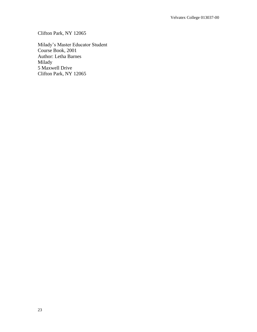Clifton Park, NY 12065

Milady's Master Educator Student Course Book, 2001 Author: Letha Barnes Milady 5 Maxwell Drive Clifton Park, NY 12065